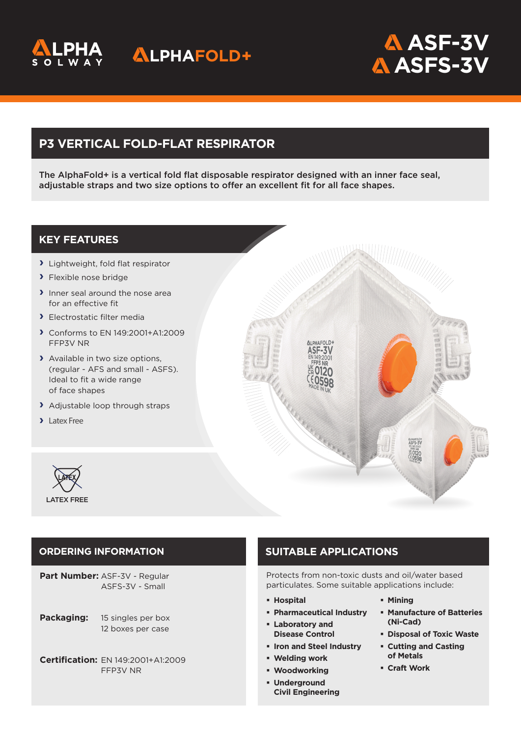

## **ALPHAFOLD+**

# **ASF-3V ASFS-3V**

## **P3 VERTICAL FOLD-FLAT RESPIRATOR**

The AlphaFold+ is a vertical fold flat disposable respirator designed with an inner face seal, adjustable straps and two size options to offer an excellent fit for all face shapes.

### **KEY FEATURES**

- > Lightweight, fold flat respirator
- > Flexible nose bridge
- > Inner seal around the nose area for an effective fit
- > Electrostatic filter media
- A Conforms to EN 149:2001+A1:2009 FFP3V NR
- > Available in two size options, (regular - AFS and small - ASFS). Ideal to fit a wide range of face shapes
- > Adjustable loop through straps
- > Latex Free



**Part Number:** ASF-3V - Regular ASFS-3V - Small

- **Packaging:** 15 singles per box 12 boxes per case
- **Certification:** EN 149:2001+A1:2009 FFP3V NR

## **ORDERING INFORMATION SUITABLE APPLICATIONS**

AI PHAFOLD+

Protects from non-toxic dusts and oil/water based particulates. Some suitable applications include:

- **Hospital**
- **Pharmaceutical Industry**
- **Laboratory and Disease Control**
- **Iron and Steel Industry**
- **Welding work**
- **Woodworking**
- **Underground Civil Engineering**
- **Mining**
- **Manufacture of Batteries (Ni-Cad)**
- **Disposal of Toxic Waste**
- **Cutting and Casting of Metals**
- **Craft Work**